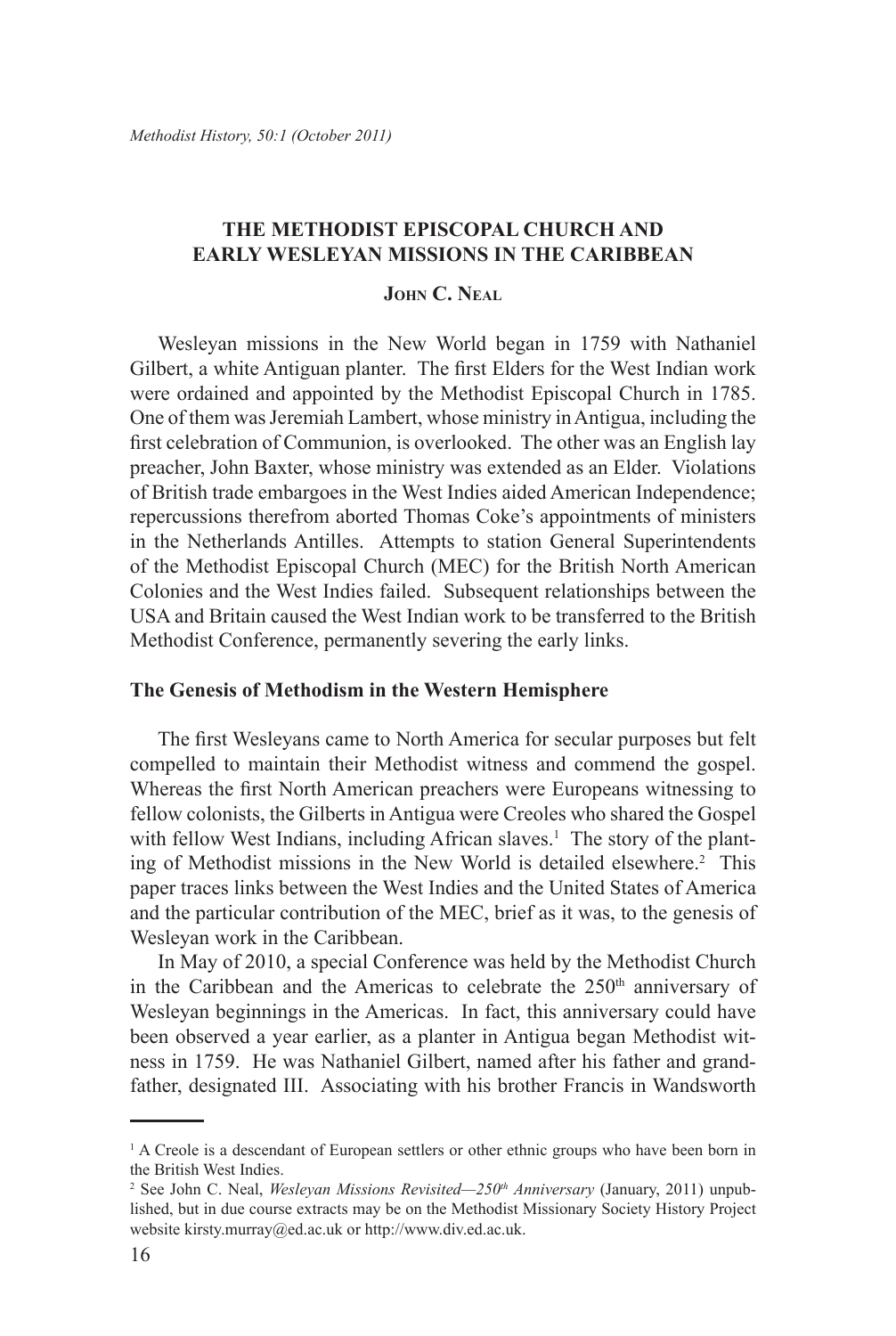# **THE METHODIST EPISCOPAL CHURCH AND EARLY WESLEYAN MISSIONS In the Caribbean**

### **John C. Neal**

Wesleyan missions in the New World began in 1759 with Nathaniel Gilbert, a white Antiguan planter. The first Elders for the West Indian work were ordained and appointed by the Methodist Episcopal Church in 1785. One of them was Jeremiah Lambert, whose ministry in Antigua, including the first celebration of Communion, is overlooked. The other was an English lay preacher, John Baxter, whose ministry was extended as an Elder. Violations of British trade embargoes in the West Indies aided American Independence; repercussions therefrom aborted Thomas Coke's appointments of ministers in the Netherlands Antilles. Attempts to station General Superintendents of the Methodist Episcopal Church (MEC) for the British North American Colonies and the West Indies failed. Subsequent relationships between the USA and Britain caused the West Indian work to be transferred to the British Methodist Conference, permanently severing the early links.

#### **The Genesis of Methodism in the Western Hemisphere**

The first Wesleyans came to North America for secular purposes but felt compelled to maintain their Methodist witness and commend the gospel. Whereas the first North American preachers were Europeans witnessing to fellow colonists, the Gilberts in Antigua were Creoles who shared the Gospel with fellow West Indians, including African slaves.<sup>1</sup> The story of the planting of Methodist missions in the New World is detailed elsewhere.<sup>2</sup> This paper traces links between the West Indies and the United States of America and the particular contribution of the MEC, brief as it was, to the genesis of Wesleyan work in the Caribbean.

In May of 2010, a special Conference was held by the Methodist Church in the Caribbean and the Americas to celebrate the  $250<sup>th</sup>$  anniversary of Wesleyan beginnings in the Americas. In fact, this anniversary could have been observed a year earlier, as a planter in Antigua began Methodist witness in 1759. He was Nathaniel Gilbert, named after his father and grandfather, designated III. Associating with his brother Francis in Wandsworth

<sup>&</sup>lt;sup>1</sup> A Creole is a descendant of European settlers or other ethnic groups who have been born in the British West Indies.

<sup>2</sup> See John C. Neal, *Wesleyan Missions Revisited—250th Anniversary* (January, 2011) unpublished, but in due course extracts may be on the Methodist Missionary Society History Project website kirsty.murray@ed.ac.uk or http://www.div.ed.ac.uk.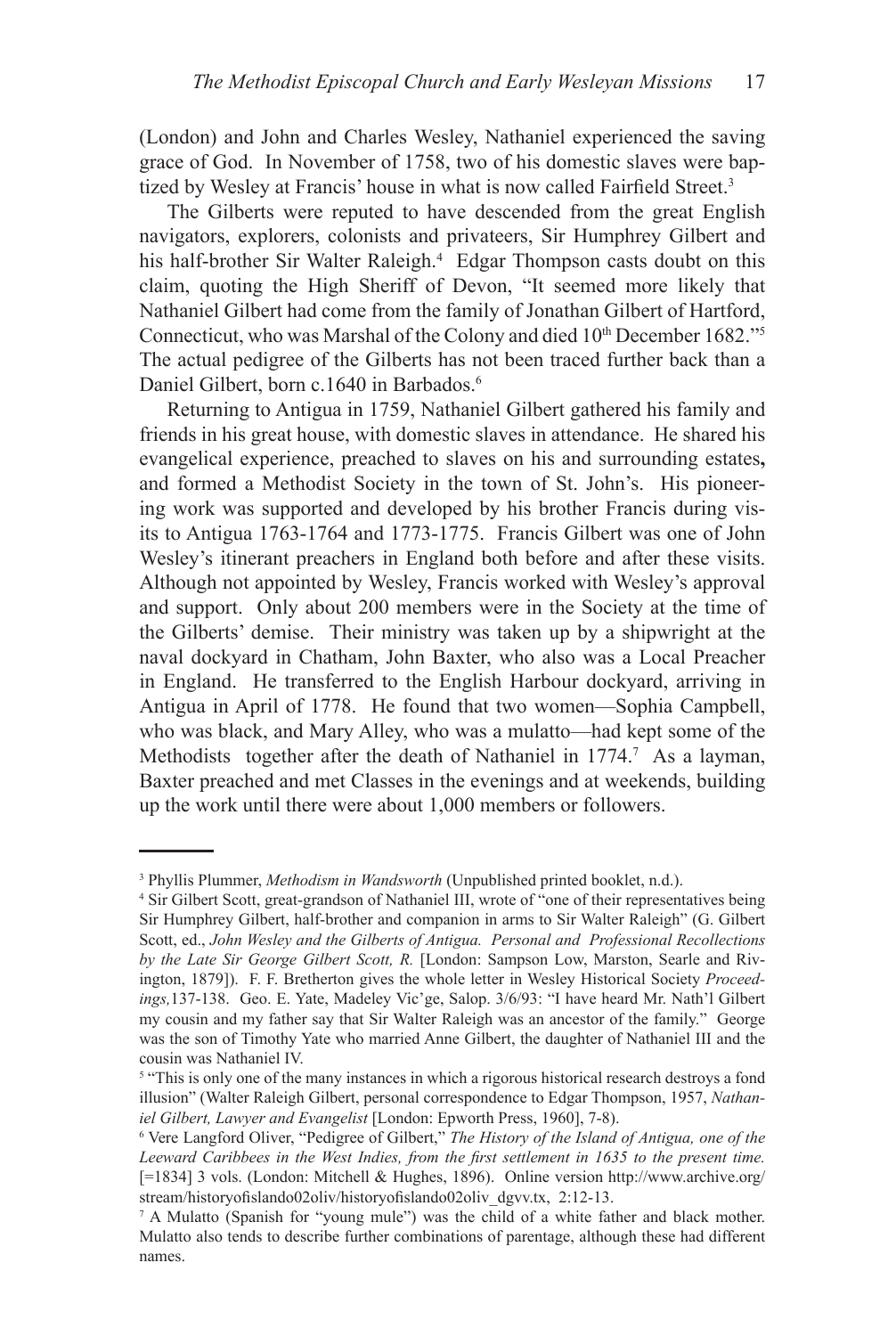(London) and John and Charles Wesley, Nathaniel experienced the saving grace of God. In November of 1758, two of his domestic slaves were baptized by Wesley at Francis' house in what is now called Fairfield Street.<sup>3</sup>

The Gilberts were reputed to have descended from the great English navigators, explorers, colonists and privateers, Sir Humphrey Gilbert and his half-brother Sir Walter Raleigh.<sup>4</sup> Edgar Thompson casts doubt on this claim, quoting the High Sheriff of Devon, "It seemed more likely that Nathaniel Gilbert had come from the family of Jonathan Gilbert of Hartford, Connecticut, who was Marshal of the Colony and died 10<sup>th</sup> December 1682."<sup>5</sup> The actual pedigree of the Gilberts has not been traced further back than a Daniel Gilbert, born c.1640 in Barbados.<sup>6</sup>

Returning to Antigua in 1759, Nathaniel Gilbert gathered his family and friends in his great house, with domestic slaves in attendance. He shared his evangelical experience, preached to slaves on his and surrounding estates**,**  and formed a Methodist Society in the town of St. John's. His pioneering work was supported and developed by his brother Francis during visits to Antigua 1763-1764 and 1773-1775. Francis Gilbert was one of John Wesley's itinerant preachers in England both before and after these visits. Although not appointed by Wesley, Francis worked with Wesley's approval and support. Only about 200 members were in the Society at the time of the Gilberts' demise. Their ministry was taken up by a shipwright at the naval dockyard in Chatham, John Baxter, who also was a Local Preacher in England. He transferred to the English Harbour dockyard, arriving in Antigua in April of 1778. He found that two women—Sophia Campbell, who was black, and Mary Alley, who was a mulatto—had kept some of the Methodists together after the death of Nathaniel in 1774.<sup>7</sup> As a layman, Baxter preached and met Classes in the evenings and at weekends, building up the work until there were about 1,000 members or followers.

<sup>3</sup> Phyllis Plummer, *Methodism in Wandsworth* (Unpublished printed booklet, n.d.).

<sup>4</sup> Sir Gilbert Scott, great-grandson of Nathaniel III, wrote of "one of their representatives being Sir Humphrey Gilbert, half-brother and companion in arms to Sir Walter Raleigh" (G. Gilbert Scott, ed., *John Wesley and the Gilberts of Antigua. Personal and Professional Recollections by the Late Sir George Gilbert Scott, R.* [London: Sampson Low, Marston, Searle and Rivington, 1879]). F. F. Bretherton gives the whole letter in Wesley Historical Society *Proceedings,*137-138. Geo. E. Yate, Madeley Vic'ge, Salop. 3/6/93: "I have heard Mr. Nath'l Gilbert my cousin and my father say that Sir Walter Raleigh was an ancestor of the family." George was the son of Timothy Yate who married Anne Gilbert, the daughter of Nathaniel III and the cousin was Nathaniel IV.

<sup>&</sup>lt;sup>5</sup> "This is only one of the many instances in which a rigorous historical research destroys a fond illusion" (Walter Raleigh Gilbert, personal correspondence to Edgar Thompson, 1957, *Nathaniel Gilbert, Lawyer and Evangelist* [London: Epworth Press, 1960], 7-8).

Vere Langford Oliver, "Pedigree of Gilbert," *The History of the Island of Antigua, one of the Leeward Caribbees in the West Indies, from the first settlement in 1635 to the present time.* [=1834] 3 vols. (London: Mitchell & Hughes, 1896). Online version http://www.archive.org/ stream/historyofislando02oliv/historyofislando02oliv\_dgvv.tx, 2:12-13.

<sup>7</sup> A Mulatto (Spanish for "young mule") was the child of a white father and black mother. Mulatto also tends to describe further combinations of parentage, although these had different names.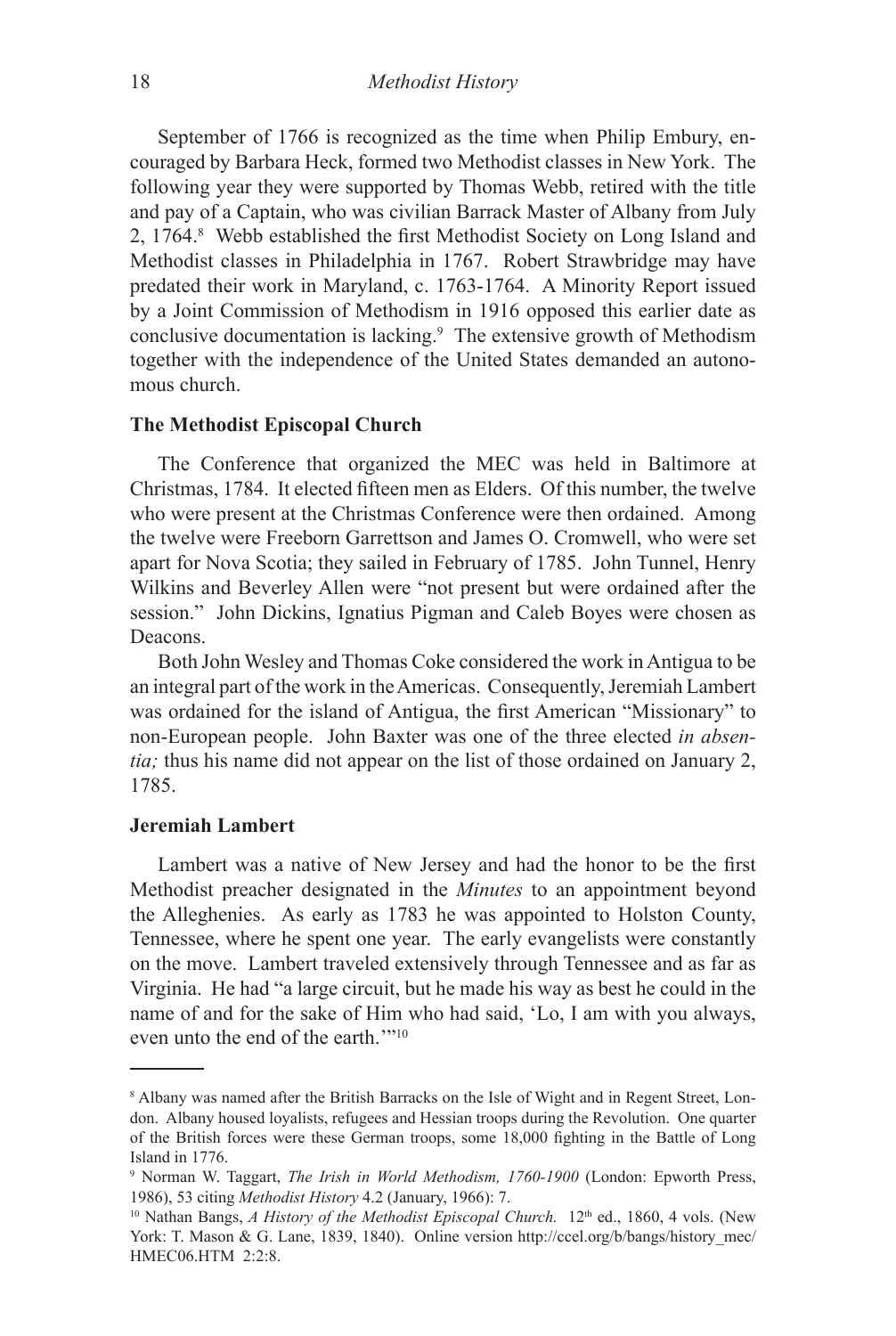September of 1766 is recognized as the time when Philip Embury, encouraged by Barbara Heck, formed two Methodist classes in New York. The following year they were supported by Thomas Webb, retired with the title and pay of a Captain, who was civilian Barrack Master of Albany from July 2, 1764.8 Webb established the first Methodist Society on Long Island and Methodist classes in Philadelphia in 1767. Robert Strawbridge may have predated their work in Maryland, c. 1763-1764. A Minority Report issued by a Joint Commission of Methodism in 1916 opposed this earlier date as conclusive documentation is lacking.<sup>9</sup> The extensive growth of Methodism together with the independence of the United States demanded an autonomous church.

### **The Methodist Episcopal Church**

The Conference that organized the MEC was held in Baltimore at Christmas, 1784. It elected fifteen men as Elders. Of this number, the twelve who were present at the Christmas Conference were then ordained. Among the twelve were Freeborn Garrettson and James O. Cromwell, who were set apart for Nova Scotia; they sailed in February of 1785. John Tunnel, Henry Wilkins and Beverley Allen were "not present but were ordained after the session." John Dickins, Ignatius Pigman and Caleb Boyes were chosen as Deacons.

Both John Wesley and Thomas Coke considered the work in Antigua to be an integral part of the work in the Americas. Consequently, Jeremiah Lambert was ordained for the island of Antigua, the first American "Missionary" to non-European people. John Baxter was one of the three elected *in absentia;* thus his name did not appear on the list of those ordained on January 2, 1785.

### **Jeremiah Lambert**

Lambert was a native of New Jersey and had the honor to be the first Methodist preacher designated in the *Minutes* to an appointment beyond the Alleghenies. As early as 1783 he was appointed to Holston County, Tennessee, where he spent one year. The early evangelists were constantly on the move. Lambert traveled extensively through Tennessee and as far as Virginia. He had "a large circuit, but he made his way as best he could in the name of and for the sake of Him who had said, 'Lo, I am with you always, even unto the end of the earth.'"<sup>10</sup>

<sup>8</sup> Albany was named after the British Barracks on the Isle of Wight and in Regent Street, London. Albany housed loyalists, refugees and Hessian troops during the Revolution. One quarter of the British forces were these German troops, some 18,000 fighting in the Battle of Long Island in 1776.

<sup>9</sup> Norman W. Taggart, *The Irish in World Methodism, 1760-1900* (London: Epworth Press, 1986), 53 citing *Methodist History* 4.2 (January, 1966): 7.

<sup>&</sup>lt;sup>10</sup> Nathan Bangs, *A History of the Methodist Episcopal Church*. 12<sup>th</sup> ed., 1860, 4 vols. (New York: T. Mason & G. Lane, 1839, 1840). Online version http://ccel.org/b/bangs/history\_mec/ HMEC06.HTM 2:2:8.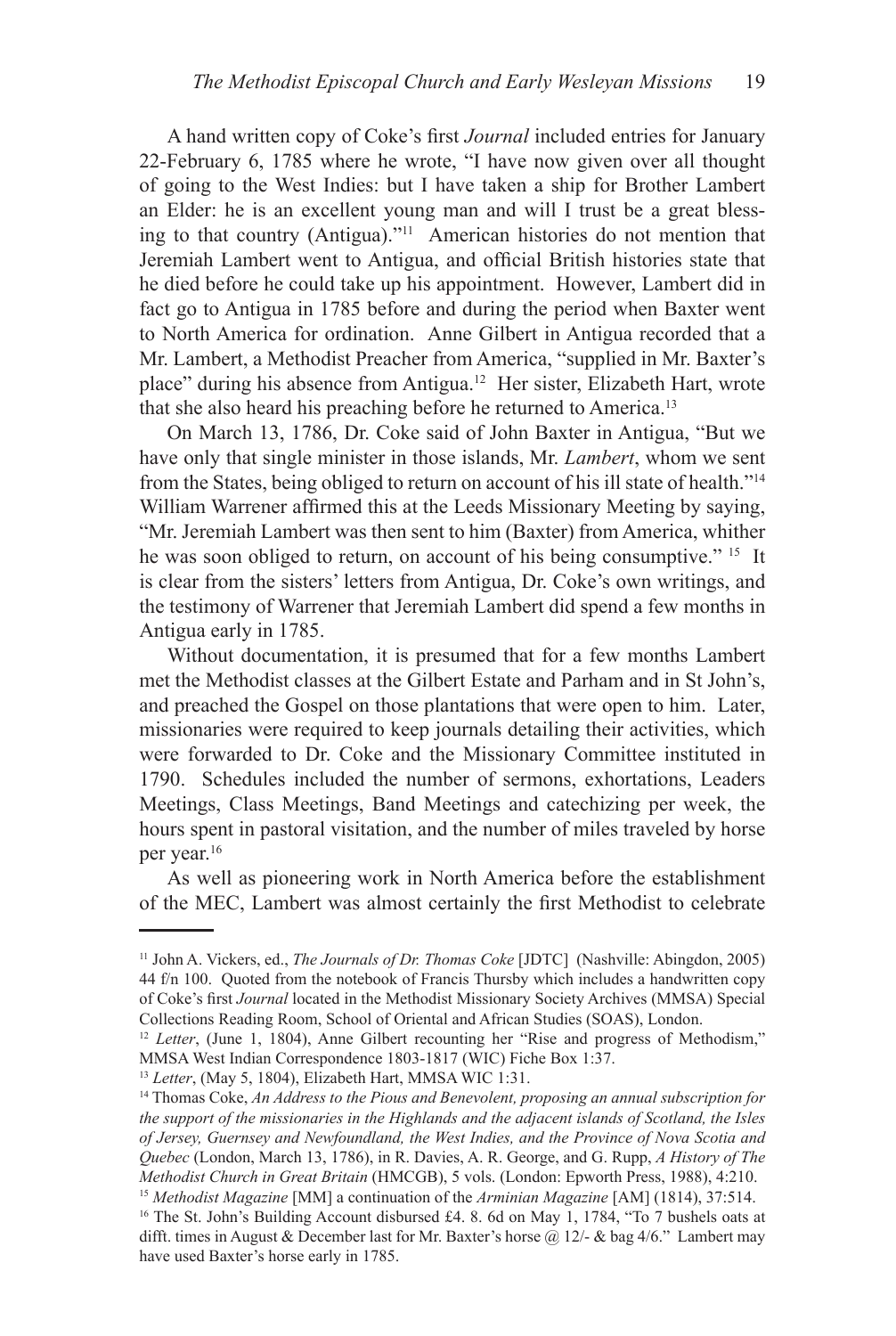A hand written copy of Coke's first *Journal* included entries for January 22-February 6, 1785 where he wrote, "I have now given over all thought of going to the West Indies: but I have taken a ship for Brother Lambert an Elder: he is an excellent young man and will I trust be a great blessing to that country (Antigua)."11 American histories do not mention that Jeremiah Lambert went to Antigua, and official British histories state that he died before he could take up his appointment. However, Lambert did in fact go to Antigua in 1785 before and during the period when Baxter went to North America for ordination. Anne Gilbert in Antigua recorded that a Mr. Lambert, a Methodist Preacher from America, "supplied in Mr. Baxter's place" during his absence from Antigua.12 Her sister, Elizabeth Hart, wrote that she also heard his preaching before he returned to America.13

On March 13, 1786, Dr. Coke said of John Baxter in Antigua, "But we have only that single minister in those islands, Mr. *Lambert*, whom we sent from the States, being obliged to return on account of his ill state of health."14 William Warrener affirmed this at the Leeds Missionary Meeting by saying, "Mr. Jeremiah Lambert was then sent to him (Baxter) from America, whither he was soon obliged to return, on account of his being consumptive." <sup>15</sup> It is clear from the sisters' letters from Antigua, Dr. Coke's own writings, and the testimony of Warrener that Jeremiah Lambert did spend a few months in Antigua early in 1785.

Without documentation, it is presumed that for a few months Lambert met the Methodist classes at the Gilbert Estate and Parham and in St John's, and preached the Gospel on those plantations that were open to him. Later, missionaries were required to keep journals detailing their activities, which were forwarded to Dr. Coke and the Missionary Committee instituted in 1790. Schedules included the number of sermons, exhortations, Leaders Meetings, Class Meetings, Band Meetings and catechizing per week, the hours spent in pastoral visitation, and the number of miles traveled by horse per year.16

As well as pioneering work in North America before the establishment of the MEC, Lambert was almost certainly the first Methodist to celebrate

<sup>11</sup> John A. Vickers, ed., *The Journals of Dr. Thomas Coke* [JDTC] (Nashville: Abingdon, 2005) 44 f/n 100. Quoted from the notebook of Francis Thursby which includes a handwritten copy of Coke's first *Journal* located in the Methodist Missionary Society Archives (MMSA) Special Collections Reading Room, School of Oriental and African Studies (SOAS), London.

<sup>&</sup>lt;sup>12</sup> Letter, (June 1, 1804), Anne Gilbert recounting her "Rise and progress of Methodism," MMSA West Indian Correspondence 1803-1817 (WIC) Fiche Box 1:37.

<sup>&</sup>lt;sup>13</sup> Letter, (May 5, 1804), Elizabeth Hart, MMSA WIC 1:31.<br><sup>14</sup> Thomas Coke, *An Address to the Pious and Benevolent, proposing an annual subscription for the support of the missionaries in the Highlands and the adjacent islands of Scotland, the Isles of Jersey, Guernsey and Newfoundland, the West Indies, and the Province of Nova Scotia and Quebec* (London, March 13, 1786), in R. Davies, A. R. George, and G. Rupp, *A History of The Methodist Church in Great Britain* (HMCGB), 5 vols. (London: Epworth Press, 1988), 4:210. 15 *Methodist Magazine* [MM] a continuation of the *Arminian Magazine* [AM] (1814), 37:514.

<sup>&</sup>lt;sup>16</sup> The St. John's Building Account disbursed £4. 8. 6d on May 1, 1784, "To 7 bushels oats at difft. times in August & December last for Mr. Baxter's horse  $\omega$  12/- & bag 4/6." Lambert may have used Baxter's horse early in 1785.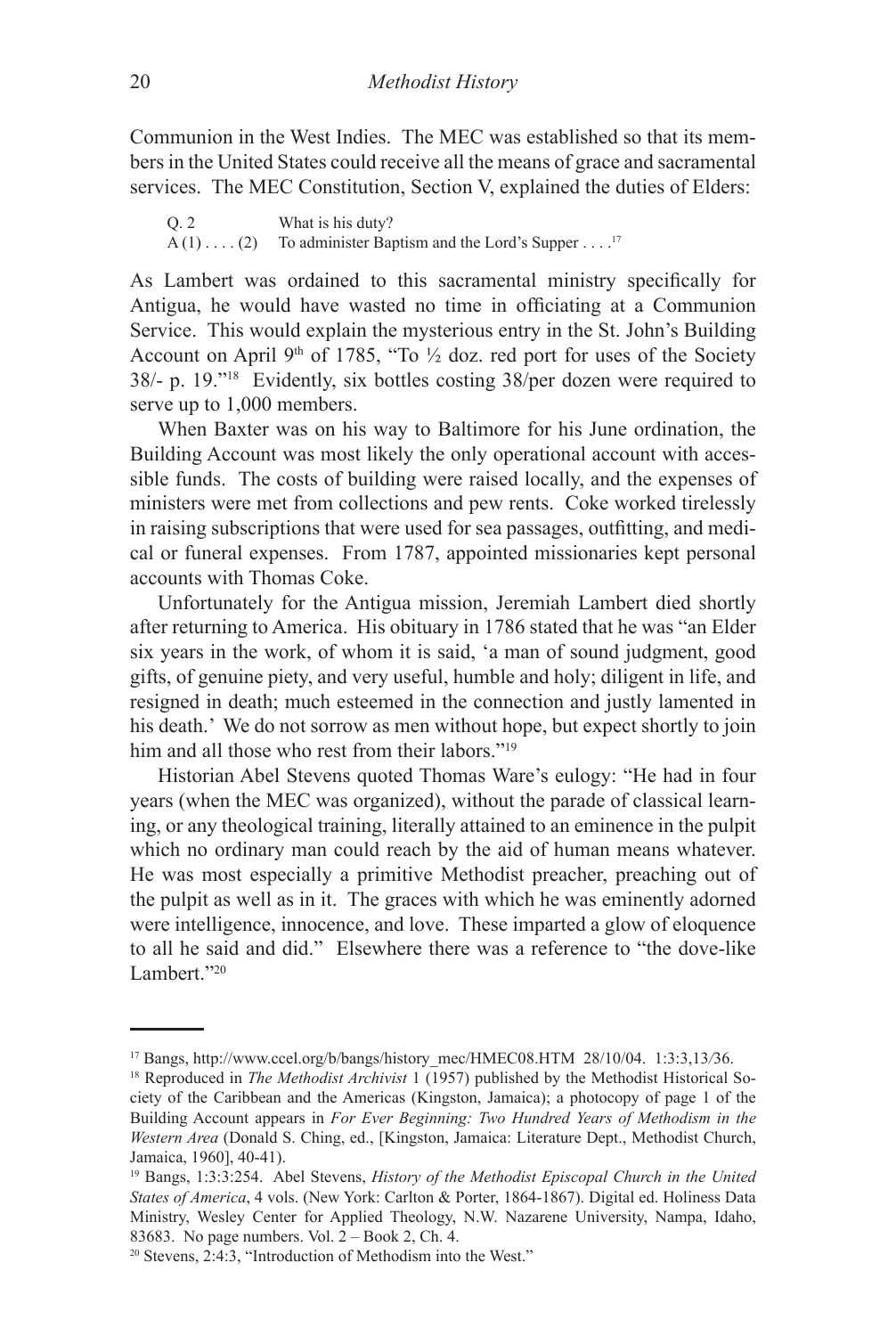Communion in the West Indies. The MEC was established so that its members in the United States could receive all the means of grace and sacramental services. The MEC Constitution, Section V, explained the duties of Elders:

Q. 2 What is his duty?  $A(1) \ldots (2)$  To administer Baptism and the Lord's Supper . . . .<sup>17</sup>

As Lambert was ordained to this sacramental ministry specifically for Antigua, he would have wasted no time in officiating at a Communion Service. This would explain the mysterious entry in the St. John's Building Account on April 9<sup>th</sup> of 1785, "To  $\frac{1}{2}$  doz. red port for uses of the Society 38/- p. 19."18 Evidently, six bottles costing 38/per dozen were required to serve up to 1,000 members.

When Baxter was on his way to Baltimore for his June ordination, the Building Account was most likely the only operational account with accessible funds. The costs of building were raised locally, and the expenses of ministers were met from collections and pew rents. Coke worked tirelessly in raising subscriptions that were used for sea passages, outfitting, and medical or funeral expenses. From 1787, appointed missionaries kept personal accounts with Thomas Coke.

Unfortunately for the Antigua mission, Jeremiah Lambert died shortly after returning to America. His obituary in 1786 stated that he was "an Elder six years in the work, of whom it is said, 'a man of sound judgment, good gifts, of genuine piety, and very useful, humble and holy; diligent in life, and resigned in death; much esteemed in the connection and justly lamented in his death.' We do not sorrow as men without hope, but expect shortly to join him and all those who rest from their labors."<sup>19</sup>

Historian Abel Stevens quoted Thomas Ware's eulogy: "He had in four years (when the MEC was organized), without the parade of classical learning, or any theological training, literally attained to an eminence in the pulpit which no ordinary man could reach by the aid of human means whatever. He was most especially a primitive Methodist preacher, preaching out of the pulpit as well as in it. The graces with which he was eminently adorned were intelligence, innocence, and love. These imparted a glow of eloquence to all he said and did." Elsewhere there was a reference to "the dove-like Lambert<sup>"20</sup>

<sup>17</sup> Bangs, http://www.ccel.org/b/bangs/history\_mec/HMEC08.HTM 28/10/04. 1:3:3,13*/*36.

<sup>&</sup>lt;sup>18</sup> Reproduced in *The Methodist Archivist* 1 (1957) published by the Methodist Historical Society of the Caribbean and the Americas (Kingston, Jamaica); a photocopy of page 1 of the Building Account appears in *For Ever Beginning: Two Hundred Years of Methodism in the Western Area* (Donald S. Ching, ed., [Kingston, Jamaica: Literature Dept., Methodist Church, Jamaica, 1960], 40-41).

<sup>19</sup> Bangs, 1:3:3:254. Abel Stevens, *History of the Methodist Episcopal Church in the United States of America*, 4 vols. (New York: Carlton & Porter, 1864-1867). Digital ed. Holiness Data Ministry, Wesley Center for Applied Theology, N.W. Nazarene University, Nampa, Idaho, 83683. No page numbers. Vol. 2 – Book 2, Ch. 4.

<sup>20</sup> Stevens, 2:4:3, "Introduction of Methodism into the West."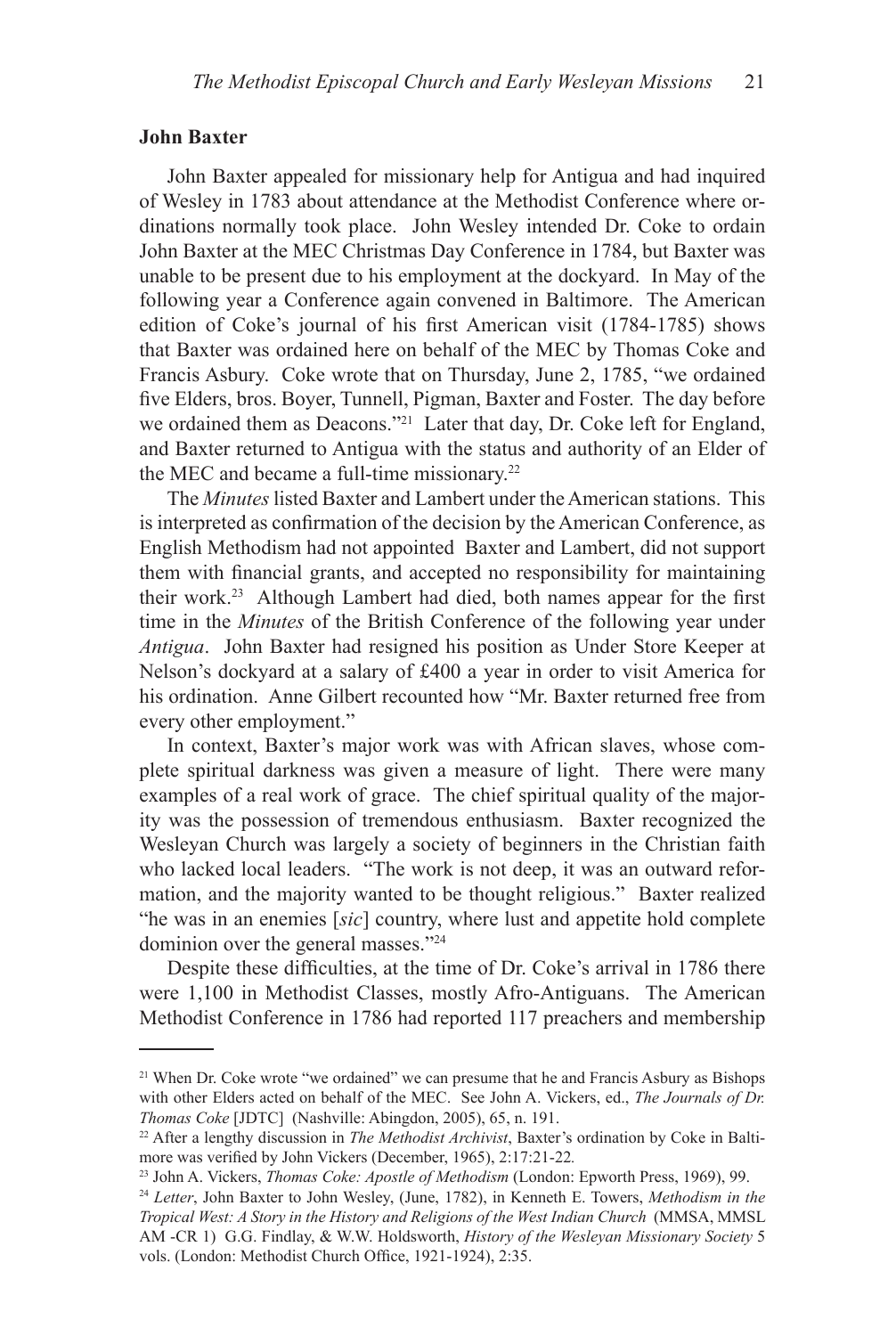## **John Baxter**

John Baxter appealed for missionary help for Antigua and had inquired of Wesley in 1783 about attendance at the Methodist Conference where ordinations normally took place. John Wesley intended Dr. Coke to ordain John Baxter at the MEC Christmas Day Conference in 1784, but Baxter was unable to be present due to his employment at the dockyard. In May of the following year a Conference again convened in Baltimore. The American edition of Coke's journal of his first American visit (1784-1785) shows that Baxter was ordained here on behalf of the MEC by Thomas Coke and Francis Asbury. Coke wrote that on Thursday, June 2, 1785, "we ordained five Elders, bros. Boyer, Tunnell, Pigman, Baxter and Foster. The day before we ordained them as Deacons."<sup>21</sup> Later that day, Dr. Coke left for England, and Baxter returned to Antigua with the status and authority of an Elder of the MEC and became a full-time missionary.<sup>22</sup>

The *Minutes* listed Baxter and Lambert under the American stations. This is interpreted as confirmation of the decision by the American Conference, as English Methodism had not appointed Baxter and Lambert, did not support them with financial grants, and accepted no responsibility for maintaining their work.23 Although Lambert had died, both names appear for the first time in the *Minutes* of the British Conference of the following year under *Antigua*. John Baxter had resigned his position as Under Store Keeper at Nelson's dockyard at a salary of £400 a year in order to visit America for his ordination. Anne Gilbert recounted how "Mr. Baxter returned free from every other employment."

In context, Baxter's major work was with African slaves, whose complete spiritual darkness was given a measure of light. There were many examples of a real work of grace. The chief spiritual quality of the majority was the possession of tremendous enthusiasm. Baxter recognized the Wesleyan Church was largely a society of beginners in the Christian faith who lacked local leaders. "The work is not deep, it was an outward reformation, and the majority wanted to be thought religious." Baxter realized "he was in an enemies [*sic*] country, where lust and appetite hold complete dominion over the general masses."24

Despite these difficulties, at the time of Dr. Coke's arrival in 1786 there were 1,100 in Methodist Classes, mostly Afro-Antiguans. The American Methodist Conference in 1786 had reported 117 preachers and membership

<sup>&</sup>lt;sup>21</sup> When Dr. Coke wrote "we ordained" we can presume that he and Francis Asbury as Bishops with other Elders acted on behalf of the MEC. See John A. Vickers, ed., *The Journals of Dr. Thomas Coke* [JDTC] (Nashville: Abingdon, 2005), 65, n. 191.

<sup>22</sup> After a lengthy discussion in *The Methodist Archivist*, Baxter's ordination by Coke in Baltimore was verified by John Vickers (December, 1965), 2:17:21-22*.*

<sup>23</sup> John A. Vickers, *Thomas Coke: Apostle of Methodism* (London: Epworth Press, 1969), 99.

<sup>24</sup> *Letter*, John Baxter to John Wesley, (June, 1782), in Kenneth E. Towers, *Methodism in the Tropical West: A Story in the History and Religions of the West Indian Church* (MMSA, MMSL AM -CR 1) G.G. Findlay, & W.W. Holdsworth, *History of the Wesleyan Missionary Society* 5 vols. (London: Methodist Church Office, 1921-1924), 2:35.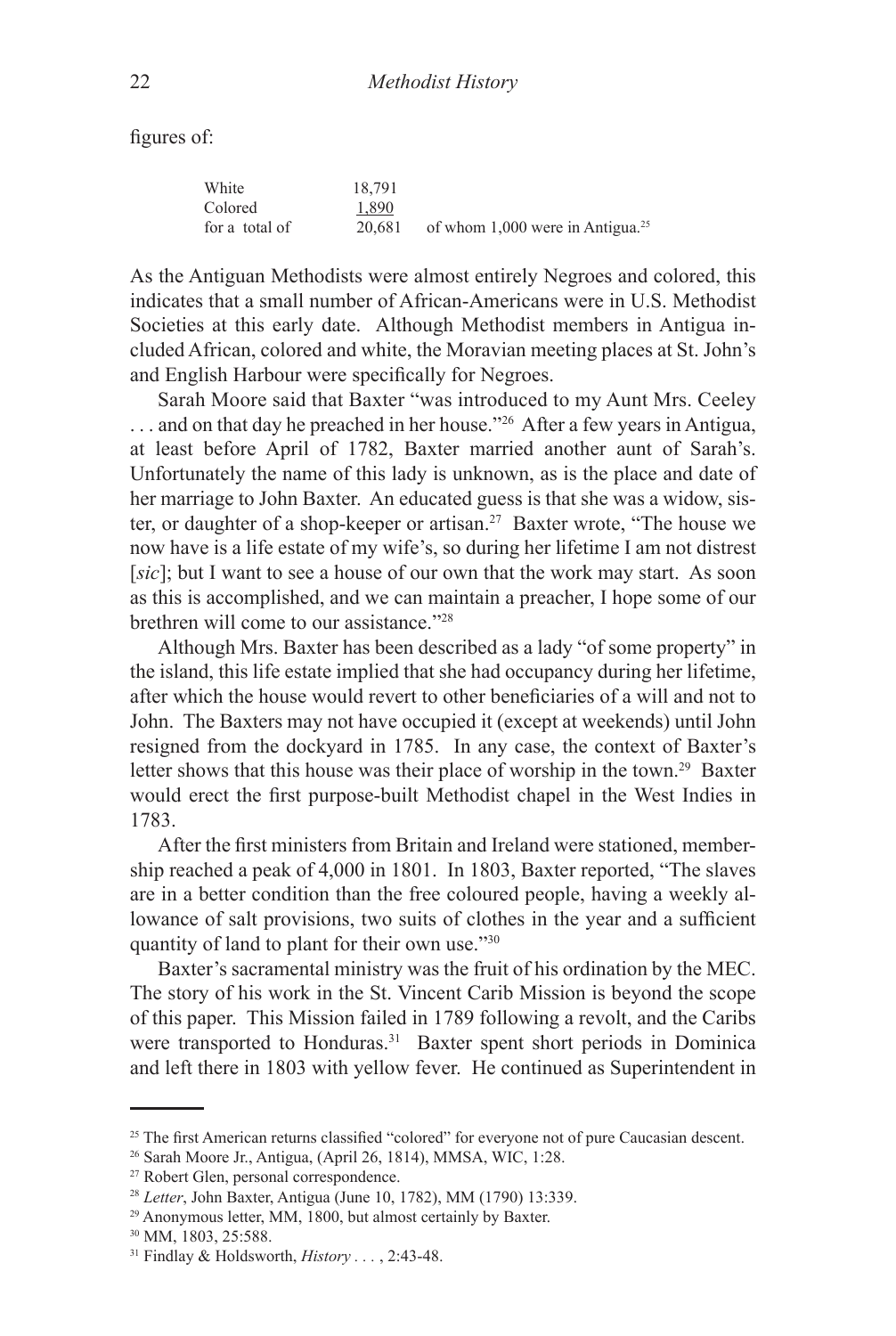figures of:

| White          | 18.791 |                                                |
|----------------|--------|------------------------------------------------|
| Colored        | 1.890  |                                                |
| for a total of | 20.681 | of whom $1,000$ were in Antigua. <sup>25</sup> |

As the Antiguan Methodists were almost entirely Negroes and colored, this indicates that a small number of African-Americans were in U.S. Methodist Societies at this early date. Although Methodist members in Antigua included African, colored and white, the Moravian meeting places at St. John's and English Harbour were specifically for Negroes.

Sarah Moore said that Baxter "was introduced to my Aunt Mrs. Ceeley ... and on that day he preached in her house."<sup>26</sup> After a few years in Antigua, at least before April of 1782, Baxter married another aunt of Sarah's. Unfortunately the name of this lady is unknown, as is the place and date of her marriage to John Baxter. An educated guess is that she was a widow, sister, or daughter of a shop-keeper or artisan.27 Baxter wrote, "The house we now have is a life estate of my wife's, so during her lifetime I am not distrest [*sic*]; but I want to see a house of our own that the work may start. As soon as this is accomplished, and we can maintain a preacher, I hope some of our brethren will come to our assistance."28

Although Mrs. Baxter has been described as a lady "of some property" in the island, this life estate implied that she had occupancy during her lifetime, after which the house would revert to other beneficiaries of a will and not to John. The Baxters may not have occupied it (except at weekends) until John resigned from the dockyard in 1785. In any case, the context of Baxter's letter shows that this house was their place of worship in the town.29 Baxter would erect the first purpose-built Methodist chapel in the West Indies in 1783.

After the first ministers from Britain and Ireland were stationed, membership reached a peak of 4,000 in 1801. In 1803, Baxter reported, "The slaves are in a better condition than the free coloured people, having a weekly allowance of salt provisions, two suits of clothes in the year and a sufficient quantity of land to plant for their own use."30

Baxter's sacramental ministry was the fruit of his ordination by the MEC. The story of his work in the St. Vincent Carib Mission is beyond the scope of this paper. This Mission failed in 1789 following a revolt, and the Caribs were transported to Honduras.<sup>31</sup> Baxter spent short periods in Dominica and left there in 1803 with yellow fever. He continued as Superintendent in

<sup>&</sup>lt;sup>25</sup> The first American returns classified "colored" for everyone not of pure Caucasian descent.

<sup>26</sup> Sarah Moore Jr., Antigua, (April 26, 1814), MMSA, WIC, 1:28.

<sup>27</sup> Robert Glen, personal correspondence.

<sup>28</sup> *Letter*, John Baxter, Antigua (June 10, 1782), MM (1790) 13:339.

<sup>29</sup> Anonymous letter, MM, 1800, but almost certainly by Baxter.

<sup>30</sup> MM, 1803, 25:588.

<sup>31</sup> Findlay & Holdsworth, *History . . .* , 2:43-48.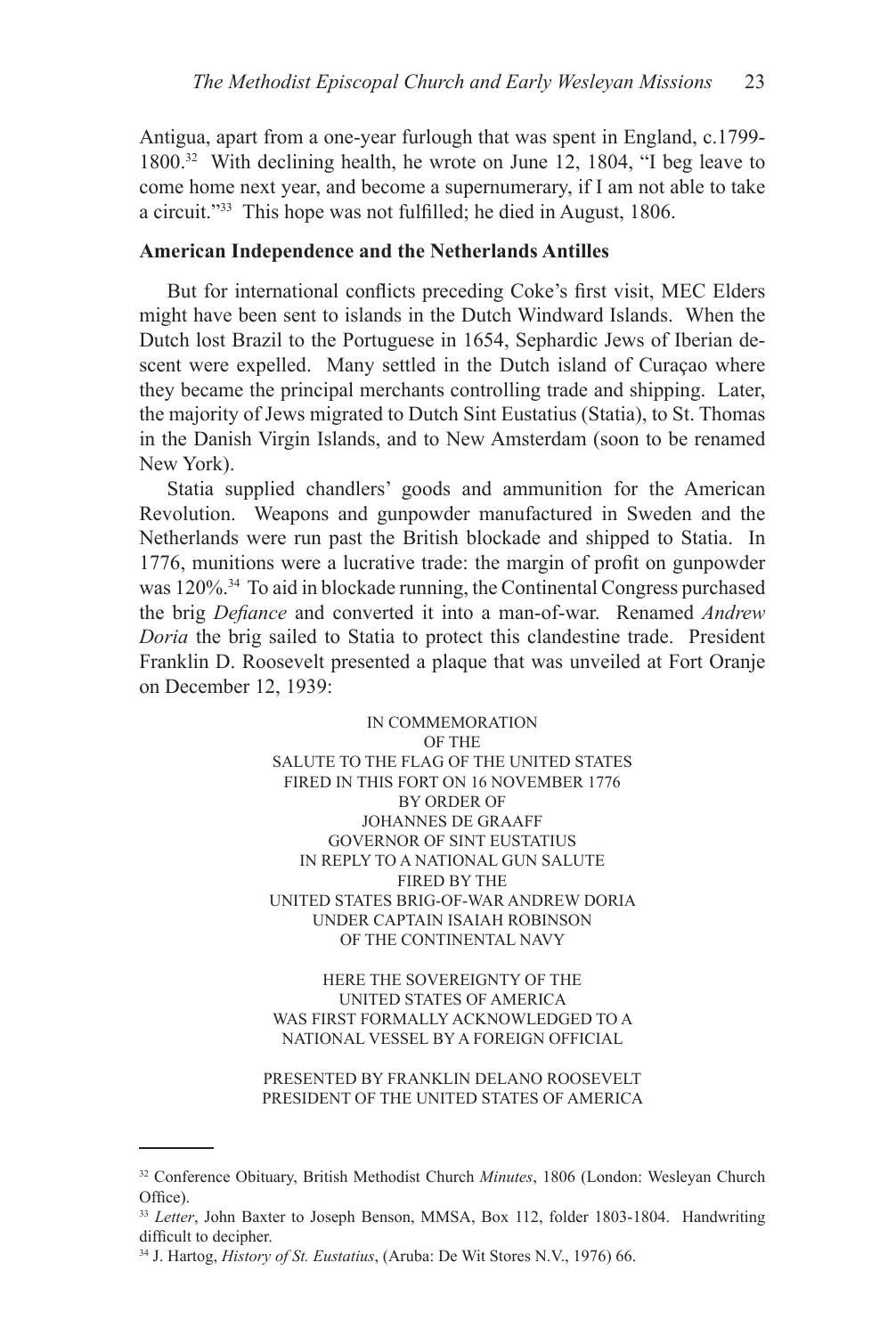Antigua, apart from a one-year furlough that was spent in England, c.1799- 1800.32 With declining health, he wrote on June 12, 1804, "I beg leave to come home next year, and become a supernumerary, if I am not able to take a circuit."33 This hope was not fulfilled; he died in August, 1806.

## **American Independence and the Netherlands Antilles**

But for international conflicts preceding Coke's first visit, MEC Elders might have been sent to islands in the Dutch Windward Islands. When the Dutch lost Brazil to the Portuguese in 1654, Sephardic Jews of Iberian descent were expelled. Many settled in the Dutch island of Curaçao where they became the principal merchants controlling trade and shipping. Later, the majority of Jews migrated to Dutch Sint Eustatius (Statia), to St. Thomas in the Danish Virgin Islands, and to New Amsterdam (soon to be renamed New York).

Statia supplied chandlers' goods and ammunition for the American Revolution. Weapons and gunpowder manufactured in Sweden and the Netherlands were run past the British blockade and shipped to Statia. In 1776, munitions were a lucrative trade: the margin of profit on gunpowder was 120%.34 To aid in blockade running, the Continental Congress purchased the brig *Defiance* and converted it into a man-of-war. Renamed *Andrew Doria* the brig sailed to Statia to protect this clandestine trade. President Franklin D. Roosevelt presented a plaque that was unveiled at Fort Oranje on December 12, 1939:

> IN COMMEMORATION OF THE SALUTE TO THE FLAG OF THE UNITED STATES FIRED IN THIS FORT ON 16 NOVEMBER 1776 BY ORDER OF JOHANNES DE GRAAFF GOVERNOR OF SINT EUSTATIUS IN REPLY TO A NATIONAL GUN SALUTE FIRED BY THE UNITED STATES BRIG-OF-WAR ANDREW DORIA UNDER CAPTAIN ISAIAH ROBINSON OF THE CONTINENTAL NAVY

> HERE THE SOVEREIGNTY OF THE UNITED STATES OF AMERICA WAS FIRST FORMALLY ACKNOWLEDGED TO A NATIONAL VESSEL BY A FOREIGN OFFICIAL

PRESENTED BY FRANKLIN DELANO ROOSEVELT PRESIDENT OF THE UNITED STATES OF AMERICA

<sup>32</sup> Conference Obituary, British Methodist Church *Minutes*, 1806 (London: Wesleyan Church Office).

<sup>33</sup> *Letter*, John Baxter to Joseph Benson, MMSA, Box 112, folder 1803-1804. Handwriting difficult to decipher.

<sup>34</sup> J. Hartog, *History of St. Eustatius*, (Aruba: De Wit Stores N.V., 1976) 66.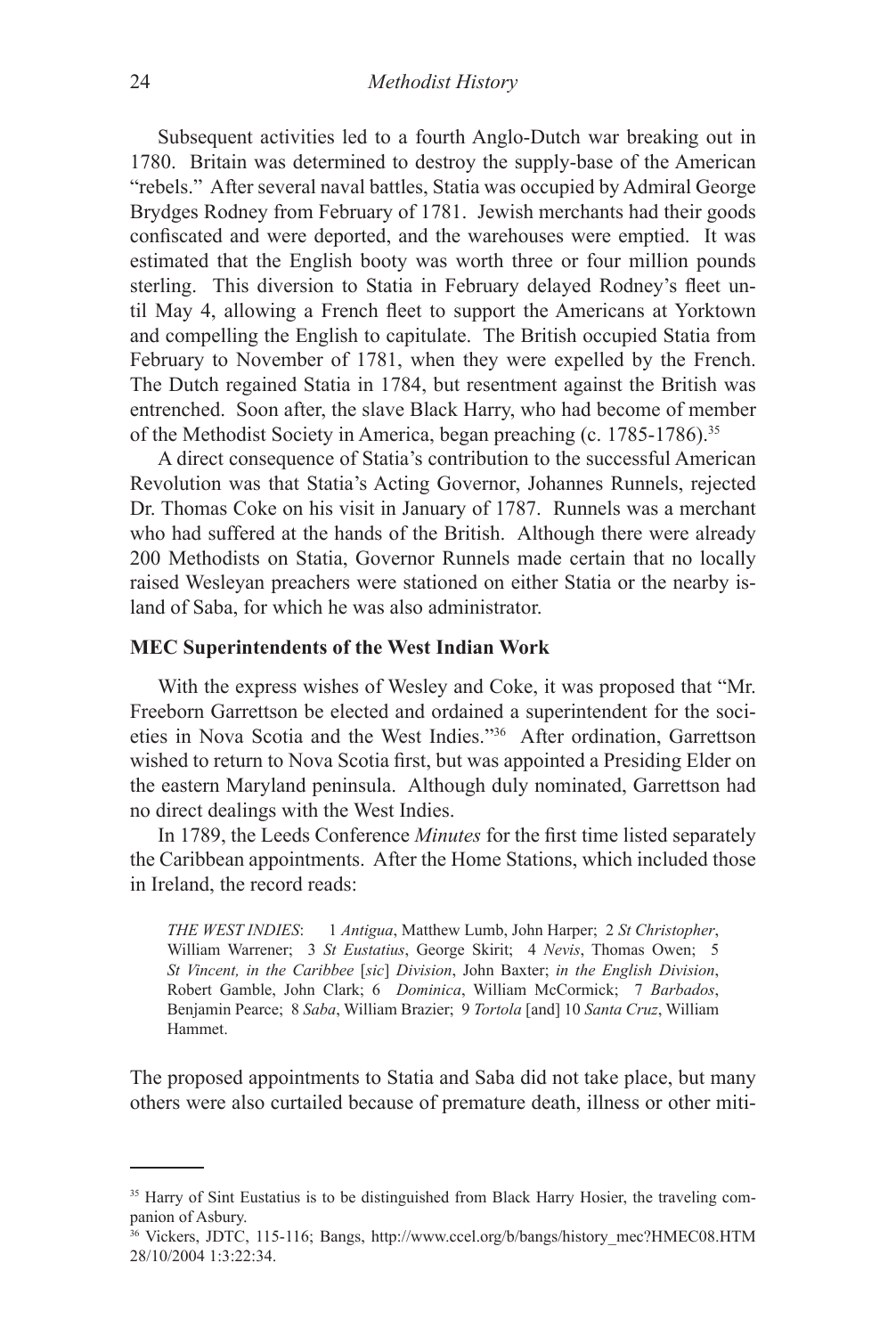Subsequent activities led to a fourth Anglo-Dutch war breaking out in 1780. Britain was determined to destroy the supply-base of the American "rebels." After several naval battles, Statia was occupied by Admiral George Brydges Rodney from February of 1781. Jewish merchants had their goods confiscated and were deported, and the warehouses were emptied. It was estimated that the English booty was worth three or four million pounds sterling. This diversion to Statia in February delayed Rodney's fleet until May 4, allowing a French fleet to support the Americans at Yorktown and compelling the English to capitulate. The British occupied Statia from February to November of 1781, when they were expelled by the French. The Dutch regained Statia in 1784, but resentment against the British was entrenched. Soon after, the slave Black Harry, who had become of member of the Methodist Society in America, began preaching (c. 1785-1786).35

A direct consequence of Statia's contribution to the successful American Revolution was that Statia's Acting Governor, Johannes Runnels, rejected Dr. Thomas Coke on his visit in January of 1787. Runnels was a merchant who had suffered at the hands of the British. Although there were already 200 Methodists on Statia, Governor Runnels made certain that no locally raised Wesleyan preachers were stationed on either Statia or the nearby island of Saba, for which he was also administrator.

#### **MEC Superintendents of the West Indian Work**

With the express wishes of Wesley and Coke, it was proposed that "Mr. Freeborn Garrettson be elected and ordained a superintendent for the societies in Nova Scotia and the West Indies."36 After ordination, Garrettson wished to return to Nova Scotia first, but was appointed a Presiding Elder on the eastern Maryland peninsula. Although duly nominated, Garrettson had no direct dealings with the West Indies.

In 1789, the Leeds Conference *Minutes* for the first time listed separately the Caribbean appointments. After the Home Stations, which included those in Ireland, the record reads:

*THE WEST INDIES*: 1 *Antigua*, Matthew Lumb, John Harper; 2 *St Christopher*, William Warrener; 3 *St Eustatius*, George Skirit; 4 *Nevis*, Thomas Owen; 5 *St Vincent, in the Caribbee* [*sic*] *Division*, John Baxter; *in the English Division*, Robert Gamble, John Clark; 6 *Dominica*, William McCormick; 7 *Barbados*, Benjamin Pearce; 8 *Saba*, William Brazier; 9 *Tortola* [and] 10 *Santa Cruz*, William Hammet.

The proposed appointments to Statia and Saba did not take place, but many others were also curtailed because of premature death, illness or other miti-

<sup>&</sup>lt;sup>35</sup> Harry of Sint Eustatius is to be distinguished from Black Harry Hosier, the traveling companion of Asbury.

<sup>36</sup> Vickers, JDTC, 115-116; Bangs, http://www.ccel.org/b/bangs/history\_mec?HMEC08.HTM 28/10/2004 1:3:22:34.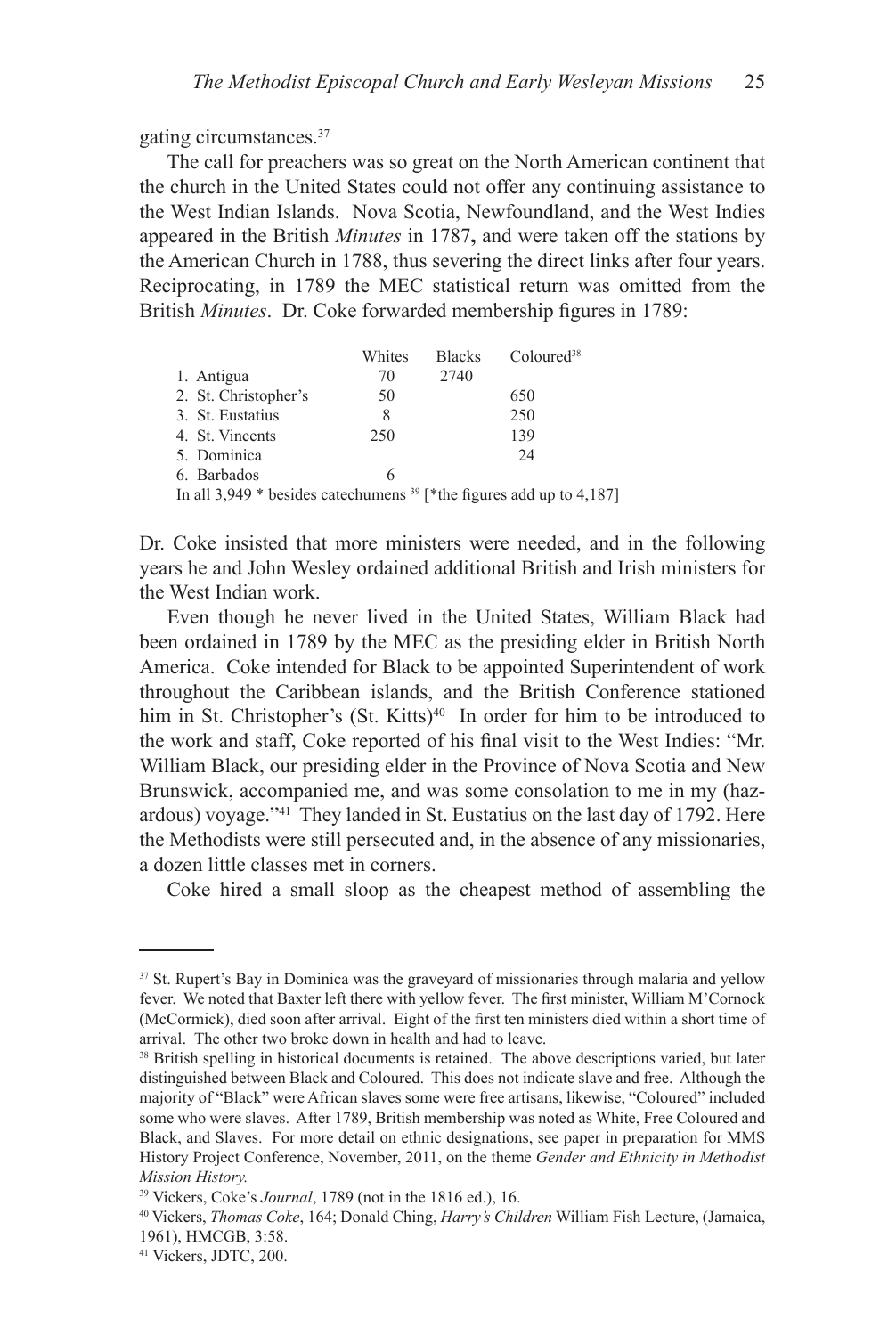gating circumstances.37

The call for preachers was so great on the North American continent that the church in the United States could not offer any continuing assistance to the West Indian Islands. Nova Scotia, Newfoundland, and the West Indies appeared in the British *Minutes* in 1787**,** and were taken off the stations by the American Church in 1788, thus severing the direct links after four years. Reciprocating, in 1789 the MEC statistical return was omitted from the British *Minutes*. Dr. Coke forwarded membership figures in 1789:

|                                                                                    | Whites | <b>Blacks</b> | Coloured <sup>38</sup> |
|------------------------------------------------------------------------------------|--------|---------------|------------------------|
| 1. Antigua                                                                         | 70     | 2740          |                        |
| 2. St. Christopher's                                                               | 50     |               | 650                    |
| 3. St. Eustatius                                                                   | 8      |               | 250                    |
| 4. St. Vincents                                                                    | 250    |               | 139                    |
| 5. Dominica                                                                        |        |               | 24                     |
| 6. Barbados                                                                        | 6      |               |                        |
| In all 3,949 $*$ besides catechamens <sup>39</sup> $*$ the figures add up to 4,187 |        |               |                        |

Dr. Coke insisted that more ministers were needed, and in the following years he and John Wesley ordained additional British and Irish ministers for the West Indian work.

Even though he never lived in the United States, William Black had been ordained in 1789 by the MEC as the presiding elder in British North America. Coke intended for Black to be appointed Superintendent of work throughout the Caribbean islands, and the British Conference stationed him in St. Christopher's (St. Kitts)<sup>40</sup> In order for him to be introduced to the work and staff, Coke reported of his final visit to the West Indies: "Mr. William Black, our presiding elder in the Province of Nova Scotia and New Brunswick, accompanied me, and was some consolation to me in my (hazardous) voyage."41 They landed in St. Eustatius on the last day of 1792. Here the Methodists were still persecuted and, in the absence of any missionaries, a dozen little classes met in corners.

Coke hired a small sloop as the cheapest method of assembling the

<sup>&</sup>lt;sup>37</sup> St. Rupert's Bay in Dominica was the graveyard of missionaries through malaria and yellow fever. We noted that Baxter left there with yellow fever. The first minister, William M'Cornock (McCormick), died soon after arrival. Eight of the first ten ministers died within a short time of arrival. The other two broke down in health and had to leave.

<sup>&</sup>lt;sup>38</sup> British spelling in historical documents is retained. The above descriptions varied, but later distinguished between Black and Coloured. This does not indicate slave and free. Although the majority of "Black" were African slaves some were free artisans, likewise, "Coloured" included some who were slaves. After 1789, British membership was noted as White, Free Coloured and Black, and Slaves. For more detail on ethnic designations, see paper in preparation for MMS History Project Conference, November, 2011, on the theme *Gender and Ethnicity in Methodist Mission History.*

<sup>39</sup> Vickers, Coke's *Journal*, 1789 (not in the 1816 ed.), 16. 40 Vickers, *Thomas Coke*, 164; Donald Ching, *Harry's Children* William Fish Lecture, (Jamaica, 1961), HMCGB, 3:58.

<sup>41</sup> Vickers, JDTC, 200.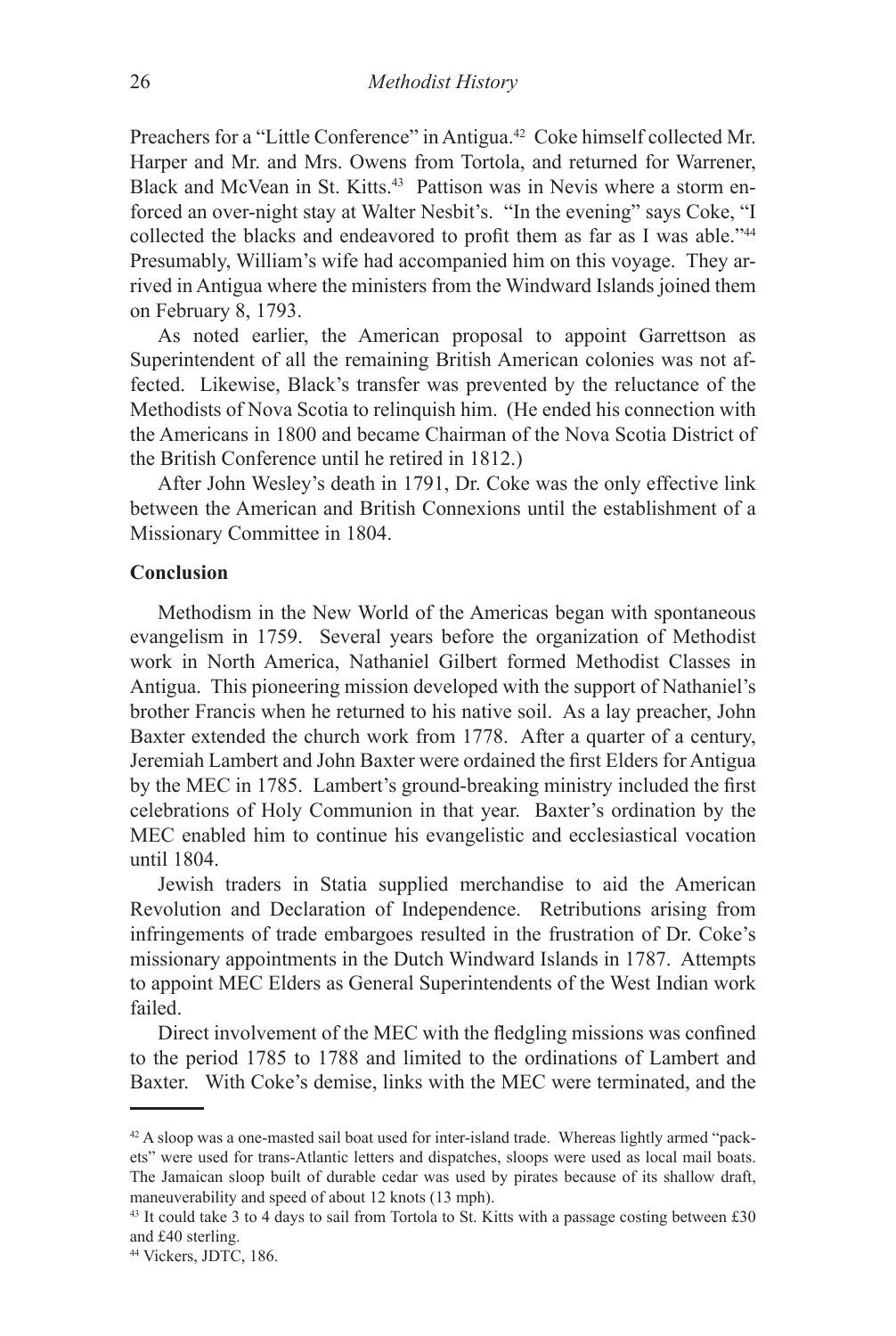Preachers for a "Little Conference" in Antigua.<sup>42</sup> Coke himself collected Mr. Harper and Mr. and Mrs. Owens from Tortola, and returned for Warrener, Black and McVean in St. Kitts.<sup>43</sup> Pattison was in Nevis where a storm enforced an over-night stay at Walter Nesbit's. "In the evening" says Coke, "I collected the blacks and endeavored to profit them as far as I was able."<sup>44</sup> Presumably, William's wife had accompanied him on this voyage. They arrived in Antigua where the ministers from the Windward Islands joined them on February 8, 1793.

As noted earlier, the American proposal to appoint Garrettson as Superintendent of all the remaining British American colonies was not affected. Likewise, Black's transfer was prevented by the reluctance of the Methodists of Nova Scotia to relinquish him. (He ended his connection with the Americans in 1800 and became Chairman of the Nova Scotia District of the British Conference until he retired in 1812.)

After John Wesley's death in 1791, Dr. Coke was the only effective link between the American and British Connexions until the establishment of a Missionary Committee in 1804.

# **Conclusion**

Methodism in the New World of the Americas began with spontaneous evangelism in 1759. Several years before the organization of Methodist work in North America, Nathaniel Gilbert formed Methodist Classes in Antigua. This pioneering mission developed with the support of Nathaniel's brother Francis when he returned to his native soil. As a lay preacher, John Baxter extended the church work from 1778. After a quarter of a century, Jeremiah Lambert and John Baxter were ordained the first Elders for Antigua by the MEC in 1785. Lambert's ground-breaking ministry included the first celebrations of Holy Communion in that year. Baxter's ordination by the MEC enabled him to continue his evangelistic and ecclesiastical vocation until 1804.

Jewish traders in Statia supplied merchandise to aid the American Revolution and Declaration of Independence. Retributions arising from infringements of trade embargoes resulted in the frustration of Dr. Coke's missionary appointments in the Dutch Windward Islands in 1787. Attempts to appoint MEC Elders as General Superintendents of the West Indian work failed.

Direct involvement of the MEC with the fledgling missions was confined to the period 1785 to 1788 and limited to the ordinations of Lambert and Baxter. With Coke's demise, links with the MEC were terminated, and the

<sup>42</sup> A sloop was a one-masted sail boat used for inter-island trade. Whereas lightly armed "packets" were used for trans-Atlantic letters and dispatches, sloops were used as local mail boats. The Jamaican sloop built of durable cedar was used by pirates because of its shallow draft, maneuverability and speed of about 12 knots (13 mph).

<sup>&</sup>lt;sup>43</sup> It could take 3 to 4 days to sail from Tortola to St. Kitts with a passage costing between £30 and £40 sterling.

<sup>44</sup> Vickers, JDTC, 186.